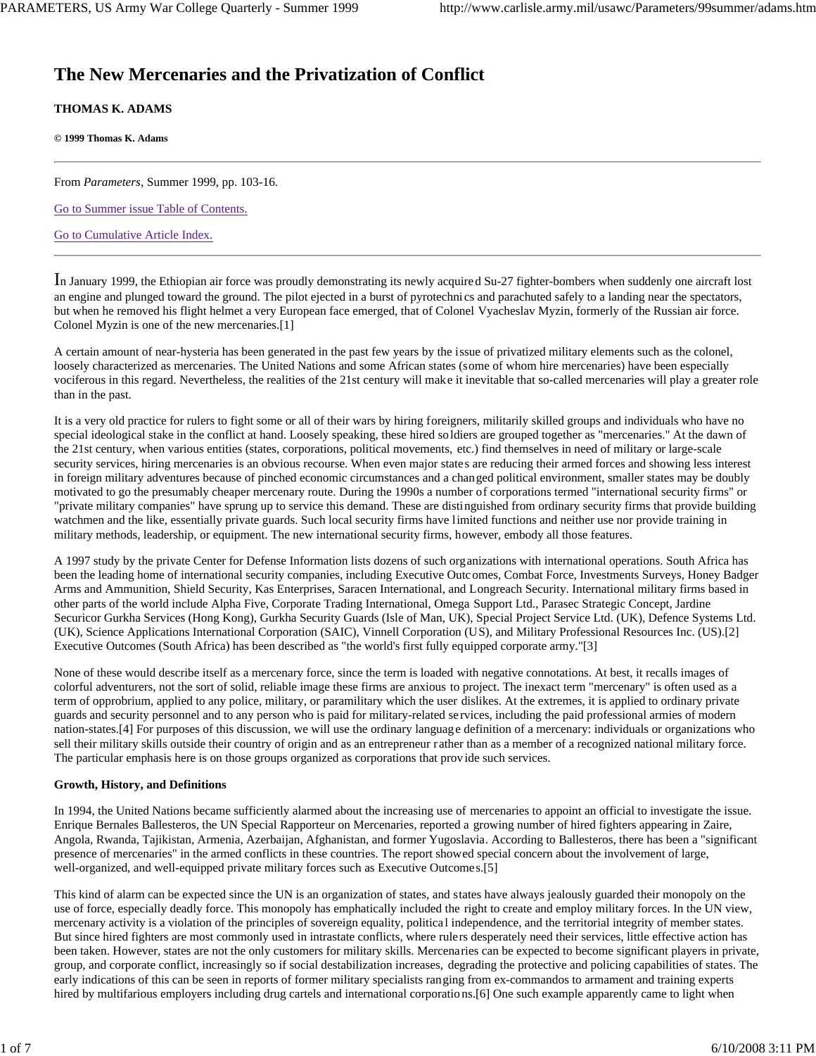# **The New Mercenaries and the Privatization of Conflict**

## **THOMAS K. ADAMS**

**© 1999 Thomas K. Adams**

From *Parameters*, Summer 1999, pp. 103-16.

Go to Summer issue Table of Contents.

Go to Cumulative Article Index.

In January 1999, the Ethiopian air force was proudly demonstrating its newly acquired Su-27 fighter-bombers when suddenly one aircraft lost an engine and plunged toward the ground. The pilot ejected in a burst of pyrotechnics and parachuted safely to a landing near the spectators, but when he removed his flight helmet a very European face emerged, that of Colonel Vyacheslav Myzin, formerly of the Russian air force. Colonel Myzin is one of the new mercenaries.[1]

A certain amount of near-hysteria has been generated in the past few years by the issue of privatized military elements such as the colonel, loosely characterized as mercenaries. The United Nations and some African states (some of whom hire mercenaries) have been especially vociferous in this regard. Nevertheless, the realities of the 21st century will make it inevitable that so-called mercenaries will play a greater role than in the past.

It is a very old practice for rulers to fight some or all of their wars by hiring foreigners, militarily skilled groups and individuals who have no special ideological stake in the conflict at hand. Loosely speaking, these hired soldiers are grouped together as "mercenaries." At the dawn of the 21st century, when various entities (states, corporations, political movements, etc.) find themselves in need of military or large-scale security services, hiring mercenaries is an obvious recourse. When even major states are reducing their armed forces and showing less interest in foreign military adventures because of pinched economic circumstances and a changed political environment, smaller states may be doubly motivated to go the presumably cheaper mercenary route. During the 1990s a number of corporations termed "international security firms" or "private military companies" have sprung up to service this demand. These are distinguished from ordinary security firms that provide building watchmen and the like, essentially private guards. Such local security firms have limited functions and neither use nor provide training in military methods, leadership, or equipment. The new international security firms, however, embody all those features.

A 1997 study by the private Center for Defense Information lists dozens of such organizations with international operations. South Africa has been the leading home of international security companies, including Executive Outcomes, Combat Force, Investments Surveys, Honey Badger Arms and Ammunition, Shield Security, Kas Enterprises, Saracen International, and Longreach Security. International military firms based in other parts of the world include Alpha Five, Corporate Trading International, Omega Support Ltd., Parasec Strategic Concept, Jardine Securicor Gurkha Services (Hong Kong), Gurkha Security Guards (Isle of Man, UK), Special Project Service Ltd. (UK), Defence Systems Ltd. (UK), Science Applications International Corporation (SAIC), Vinnell Corporation (US), and Military Professional Resources Inc. (US).[2] Executive Outcomes (South Africa) has been described as "the world's first fully equipped corporate army."[3]

None of these would describe itself as a mercenary force, since the term is loaded with negative connotations. At best, it recalls images of colorful adventurers, not the sort of solid, reliable image these firms are anxious to project. The inexact term "mercenary" is often used as a term of opprobrium, applied to any police, military, or paramilitary which the user dislikes. At the extremes, it is applied to ordinary private guards and security personnel and to any person who is paid for military-related services, including the paid professional armies of modern nation-states.[4] For purposes of this discussion, we will use the ordinary language definition of a mercenary: individuals or organizations who sell their military skills outside their country of origin and as an entrepreneur rather than as a member of a recognized national military force. The particular emphasis here is on those groups organized as corporations that prov ide such services.

## **Growth, History, and Definitions**

In 1994, the United Nations became sufficiently alarmed about the increasing use of mercenaries to appoint an official to investigate the issue. Enrique Bernales Ballesteros, the UN Special Rapporteur on Mercenaries, reported a growing number of hired fighters appearing in Zaire, Angola, Rwanda, Tajikistan, Armenia, Azerbaijan, Afghanistan, and former Yugoslavia. According to Ballesteros, there has been a "significant presence of mercenaries" in the armed conflicts in these countries. The report showed special concern about the involvement of large, well-organized, and well-equipped private military forces such as Executive Outcomes.[5]

This kind of alarm can be expected since the UN is an organization of states, and states have always jealously guarded their monopoly on the use of force, especially deadly force. This monopoly has emphatically included the right to create and employ military forces. In the UN view, mercenary activity is a violation of the principles of sovereign equality, political independence, and the territorial integrity of member states. But since hired fighters are most commonly used in intrastate conflicts, where rulers desperately need their services, little effective action has been taken. However, states are not the only customers for military skills. Mercenaries can be expected to become significant players in private, group, and corporate conflict, increasingly so if social destabilization increases, degrading the protective and policing capabilities of states. The early indications of this can be seen in reports of former military specialists ranging from ex-commandos to armament and training experts hired by multifarious employers including drug cartels and international corporatio ns.[6] One such example apparently came to light when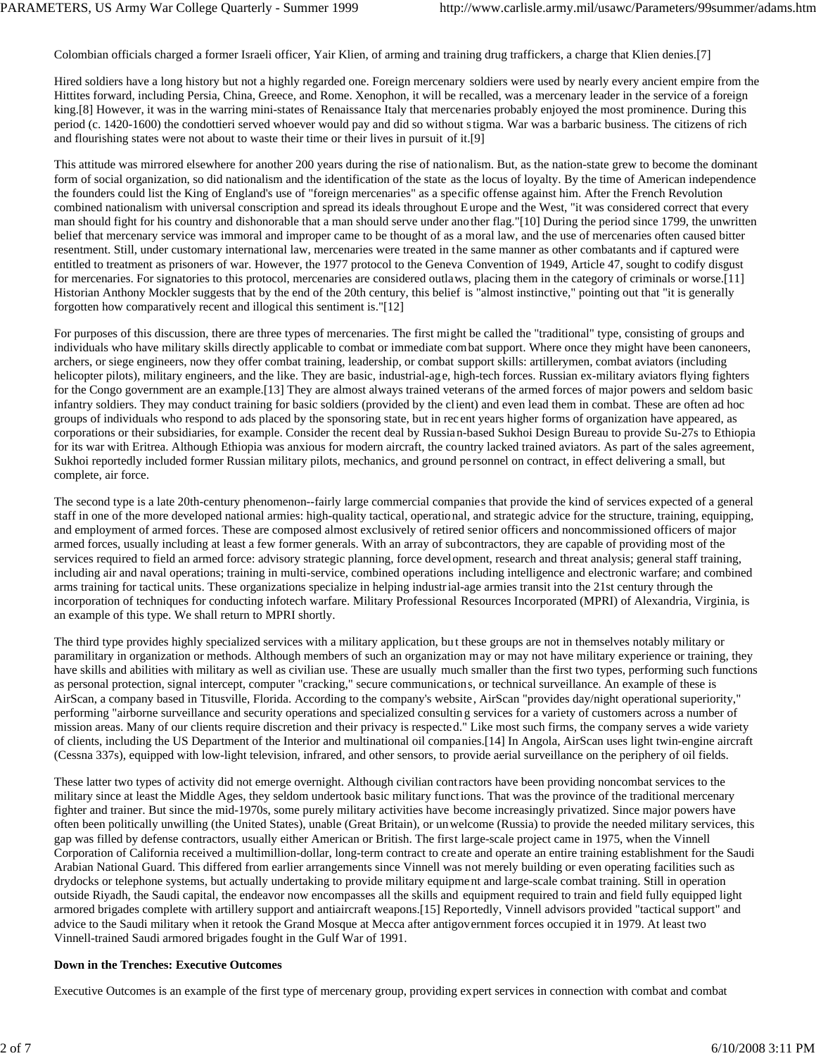Colombian officials charged a former Israeli officer, Yair Klien, of arming and training drug traffickers, a charge that Klien denies.[7]

Hired soldiers have a long history but not a highly regarded one. Foreign mercenary soldiers were used by nearly every ancient empire from the Hittites forward, including Persia, China, Greece, and Rome. Xenophon, it will be recalled, was a mercenary leader in the service of a foreign king.[8] However, it was in the warring mini-states of Renaissance Italy that mercenaries probably enjoyed the most prominence. During this period (c. 1420-1600) the condottieri served whoever would pay and did so without s tigma. War was a barbaric business. The citizens of rich and flourishing states were not about to waste their time or their lives in pursuit of it.[9]

This attitude was mirrored elsewhere for another 200 years during the rise of nationalism. But, as the nation-state grew to become the dominant form of social organization, so did nationalism and the identification of the state as the locus of loyalty. By the time of American independence the founders could list the King of England's use of "foreign mercenaries" as a specific offense against him. After the French Revolution combined nationalism with universal conscription and spread its ideals throughout E urope and the West, "it was considered correct that every man should fight for his country and dishonorable that a man should serve under another flag."[10] During the period since 1799, the unwritten belief that mercenary service was immoral and improper came to be thought of as a moral law, and the use of mercenaries often caused bitter resentment. Still, under customary international law, mercenaries were treated in the same manner as other combatants and if captured were entitled to treatment as prisoners of war. However, the 1977 protocol to the Geneva Convention of 1949, Article 47, sought to codify disgust for mercenaries. For signatories to this protocol, mercenaries are considered outlaws, placing them in the category of criminals or worse.[11] Historian Anthony Mockler suggests that by the end of the 20th century, this belief is "almost instinctive," pointing out that "it is generally forgotten how comparatively recent and illogical this sentiment is."[12]

For purposes of this discussion, there are three types of mercenaries. The first might be called the "traditional" type, consisting of groups and individuals who have military skills directly applicable to combat or immediate combat support. Where once they might have been canoneers, archers, or siege engineers, now they offer combat training, leadership, or combat support skills: artillerymen, combat aviators (including helicopter pilots), military engineers, and the like. They are basic, industrial-age, high-tech forces. Russian ex-military aviators flying fighters for the Congo government are an example.[13] They are almost always trained veterans of the armed forces of major powers and seldom basic infantry soldiers. They may conduct training for basic soldiers (provided by the client) and even lead them in combat. These are often ad hoc groups of individuals who respond to ads placed by the sponsoring state, but in rec ent years higher forms of organization have appeared, as corporations or their subsidiaries, for example. Consider the recent deal by Russian-based Sukhoi Design Bureau to provide Su-27s to Ethiopia for its war with Eritrea. Although Ethiopia was anxious for modern aircraft, the country lacked trained aviators. As part of the sales agreement, Sukhoi reportedly included former Russian military pilots, mechanics, and ground personnel on contract, in effect delivering a small, but complete, air force.

The second type is a late 20th-century phenomenon--fairly large commercial companies that provide the kind of services expected of a general staff in one of the more developed national armies: high-quality tactical, operational, and strategic advice for the structure, training, equipping, and employment of armed forces. These are composed almost exclusively of retired senior officers and noncommissioned officers of major armed forces, usually including at least a few former generals. With an array of subcontractors, they are capable of providing most of the services required to field an armed force: advisory strategic planning, force development, research and threat analysis; general staff training, including air and naval operations; training in multi-service, combined operations including intelligence and electronic warfare; and combined arms training for tactical units. These organizations specialize in helping industrial-age armies transit into the 21st century through the incorporation of techniques for conducting infotech warfare. Military Professional Resources Incorporated (MPRI) of Alexandria, Virginia, is an example of this type. We shall return to MPRI shortly.

The third type provides highly specialized services with a military application, bu t these groups are not in themselves notably military or paramilitary in organization or methods. Although members of such an organization may or may not have military experience or training, they have skills and abilities with military as well as civilian use. These are usually much smaller than the first two types, performing such functions as personal protection, signal intercept, computer "cracking," secure communications, or technical surveillance. An example of these is AirScan, a company based in Titusville, Florida. According to the company's website, AirScan "provides day/night operational superiority," performing "airborne surveillance and security operations and specialized consultin g services for a variety of customers across a number of mission areas. Many of our clients require discretion and their privacy is respected." Like most such firms, the company serves a wide variety of clients, including the US Department of the Interior and multinational oil companies.[14] In Angola, AirScan uses light twin-engine aircraft (Cessna 337s), equipped with low-light television, infrared, and other sensors, to provide aerial surveillance on the periphery of oil fields.

These latter two types of activity did not emerge overnight. Although civilian contractors have been providing noncombat services to the military since at least the Middle Ages, they seldom undertook basic military functions. That was the province of the traditional mercenary fighter and trainer. But since the mid-1970s, some purely military activities have become increasingly privatized. Since major powers have often been politically unwilling (the United States), unable (Great Britain), or unwelcome (Russia) to provide the needed military services, this gap was filled by defense contractors, usually either American or British. The first large-scale project came in 1975, when the Vinnell Corporation of California received a multimillion-dollar, long-term contract to create and operate an entire training establishment for the Saudi Arabian National Guard. This differed from earlier arrangements since Vinnell was not merely building or even operating facilities such as drydocks or telephone systems, but actually undertaking to provide military equipme nt and large-scale combat training. Still in operation outside Riyadh, the Saudi capital, the endeavor now encompasses all the skills and equipment required to train and field fully equipped light armored brigades complete with artillery support and antiaircraft weapons.[15] Reportedly, Vinnell advisors provided "tactical support" and advice to the Saudi military when it retook the Grand Mosque at Mecca after antigovernment forces occupied it in 1979. At least two Vinnell-trained Saudi armored brigades fought in the Gulf War of 1991.

#### **Down in the Trenches: Executive Outcomes**

Executive Outcomes is an example of the first type of mercenary group, providing expert services in connection with combat and combat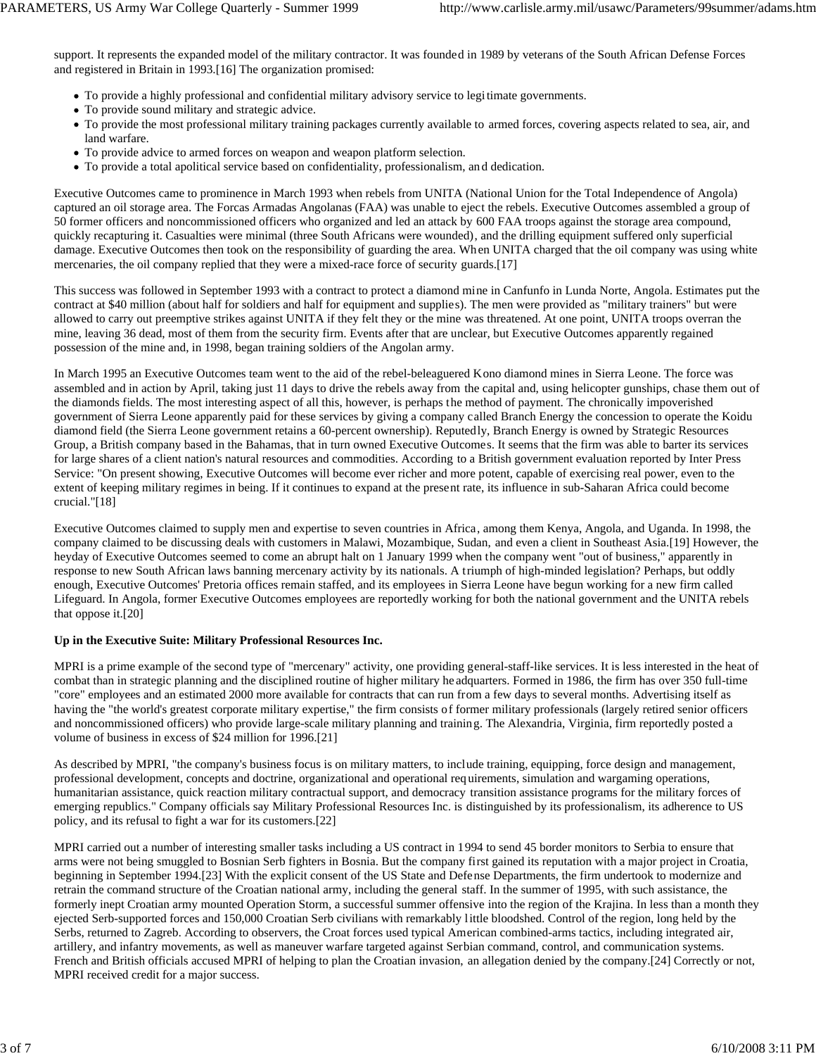support. It represents the expanded model of the military contractor. It was founded in 1989 by veterans of the South African Defense Forces and registered in Britain in 1993.[16] The organization promised:

- To provide a highly professional and confidential military advisory service to legi timate governments.
- To provide sound military and strategic advice.
- To provide the most professional military training packages currently available to armed forces, covering aspects related to sea, air, and land warfare.
- To provide advice to armed forces on weapon and weapon platform selection.
- To provide a total apolitical service based on confidentiality, professionalism, and dedication.

Executive Outcomes came to prominence in March 1993 when rebels from UNITA (National Union for the Total Independence of Angola) captured an oil storage area. The Forcas Armadas Angolanas (FAA) was unable to eject the rebels. Executive Outcomes assembled a group of 50 former officers and noncommissioned officers who organized and led an attack by 600 FAA troops against the storage area compound, quickly recapturing it. Casualties were minimal (three South Africans were wounded), and the drilling equipment suffered only superficial damage. Executive Outcomes then took on the responsibility of guarding the area. When UNITA charged that the oil company was using white mercenaries, the oil company replied that they were a mixed-race force of security guards.[17]

This success was followed in September 1993 with a contract to protect a diamond mine in Canfunfo in Lunda Norte, Angola. Estimates put the contract at \$40 million (about half for soldiers and half for equipment and supplies). The men were provided as "military trainers" but were allowed to carry out preemptive strikes against UNITA if they felt they or the mine was threatened. At one point, UNITA troops overran the mine, leaving 36 dead, most of them from the security firm. Events after that are unclear, but Executive Outcomes apparently regained possession of the mine and, in 1998, began training soldiers of the Angolan army.

In March 1995 an Executive Outcomes team went to the aid of the rebel-beleaguered Kono diamond mines in Sierra Leone. The force was assembled and in action by April, taking just 11 days to drive the rebels away from the capital and, using helicopter gunships, chase them out of the diamonds fields. The most interesting aspect of all this, however, is perhaps the method of payment. The chronically impoverished government of Sierra Leone apparently paid for these services by giving a company called Branch Energy the concession to operate the Koidu diamond field (the Sierra Leone government retains a 60-percent ownership). Reputedly, Branch Energy is owned by Strategic Resources Group, a British company based in the Bahamas, that in turn owned Executive Outcomes. It seems that the firm was able to barter its services for large shares of a client nation's natural resources and commodities. According to a British government evaluation reported by Inter Press Service: "On present showing, Executive Outcomes will become ever richer and more potent, capable of exercising real power, even to the extent of keeping military regimes in being. If it continues to expand at the present rate, its influence in sub-Saharan Africa could become crucial."[18]

Executive Outcomes claimed to supply men and expertise to seven countries in Africa, among them Kenya, Angola, and Uganda. In 1998, the company claimed to be discussing deals with customers in Malawi, Mozambique, Sudan, and even a client in Southeast Asia.[19] However, the heyday of Executive Outcomes seemed to come an abrupt halt on 1 January 1999 when the company went "out of business," apparently in response to new South African laws banning mercenary activity by its nationals. A triumph of high-minded legislation? Perhaps, but oddly enough, Executive Outcomes' Pretoria offices remain staffed, and its employees in Sierra Leone have begun working for a new firm called Lifeguard. In Angola, former Executive Outcomes employees are reportedly working for both the national government and the UNITA rebels that oppose it.[20]

#### **Up in the Executive Suite: Military Professional Resources Inc.**

MPRI is a prime example of the second type of "mercenary" activity, one providing general-staff-like services. It is less interested in the heat of combat than in strategic planning and the disciplined routine of higher military he adquarters. Formed in 1986, the firm has over 350 full-time "core" employees and an estimated 2000 more available for contracts that can run from a few days to several months. Advertising itself as having the "the world's greatest corporate military expertise," the firm consists of former military professionals (largely retired senior officers and noncommissioned officers) who provide large-scale military planning and training. The Alexandria, Virginia, firm reportedly posted a volume of business in excess of \$24 million for 1996.[21]

As described by MPRI, "the company's business focus is on military matters, to include training, equipping, force design and management, professional development, concepts and doctrine, organizational and operational req uirements, simulation and wargaming operations, humanitarian assistance, quick reaction military contractual support, and democracy transition assistance programs for the military forces of emerging republics." Company officials say Military Professional Resources Inc. is distinguished by its professionalism, its adherence to US policy, and its refusal to fight a war for its customers.[22]

MPRI carried out a number of interesting smaller tasks including a US contract in 1994 to send 45 border monitors to Serbia to ensure that arms were not being smuggled to Bosnian Serb fighters in Bosnia. But the company first gained its reputation with a major project in Croatia, beginning in September 1994.[23] With the explicit consent of the US State and Defense Departments, the firm undertook to modernize and retrain the command structure of the Croatian national army, including the general staff. In the summer of 1995, with such assistance, the formerly inept Croatian army mounted Operation Storm, a successful summer offensive into the region of the Krajina. In less than a month they ejected Serb-supported forces and 150,000 Croatian Serb civilians with remarkably little bloodshed. Control of the region, long held by the Serbs, returned to Zagreb. According to observers, the Croat forces used typical American combined-arms tactics, including integrated air, artillery, and infantry movements, as well as maneuver warfare targeted against Serbian command, control, and communication systems. French and British officials accused MPRI of helping to plan the Croatian invasion, an allegation denied by the company.[24] Correctly or not, MPRI received credit for a major success.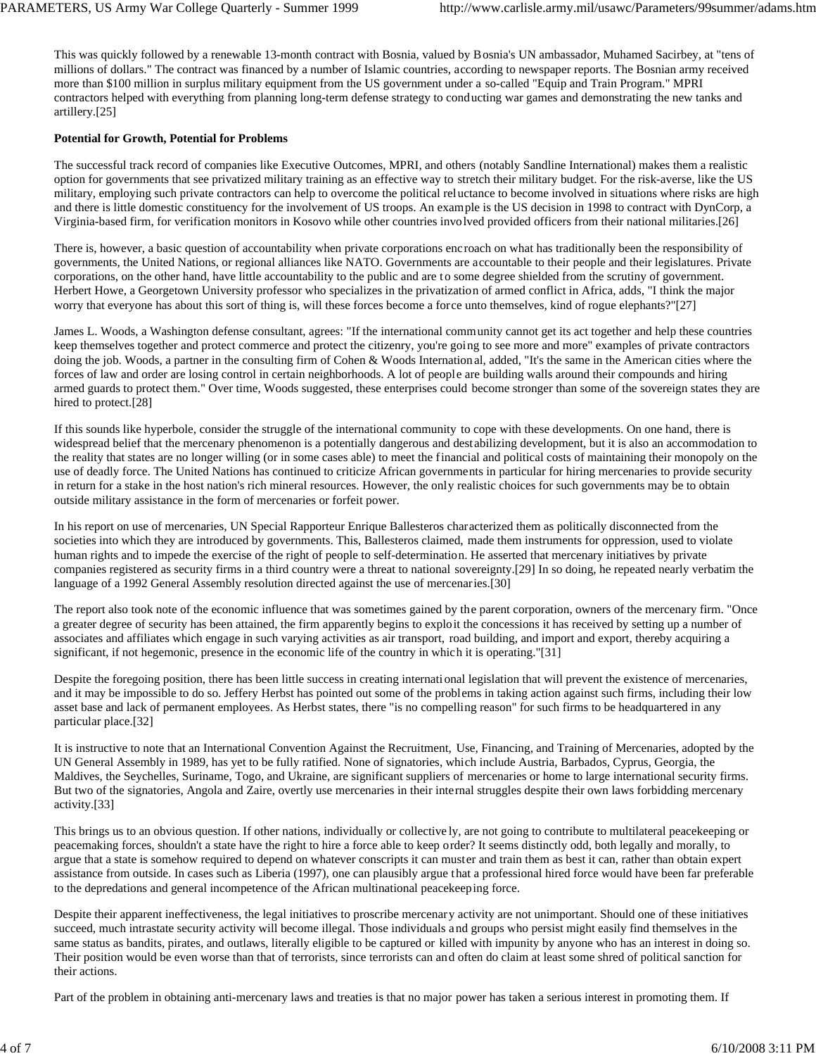This was quickly followed by a renewable 13-month contract with Bosnia, valued by Bosnia's UN ambassador, Muhamed Sacirbey, at "tens of millions of dollars." The contract was financed by a number of Islamic countries, according to newspaper reports. The Bosnian army received more than \$100 million in surplus military equipment from the US government under a so-called "Equip and Train Program." MPRI contractors helped with everything from planning long-term defense strategy to conducting war games and demonstrating the new tanks and artillery.[25]

### **Potential for Growth, Potential for Problems**

The successful track record of companies like Executive Outcomes, MPRI, and others (notably Sandline International) makes them a realistic option for governments that see privatized military training as an effective way to stretch their military budget. For the risk-averse, like the US military, employing such private contractors can help to overcome the political reluctance to become involved in situations where risks are high and there is little domestic constituency for the involvement of US troops. An example is the US decision in 1998 to contract with DynCorp, a Virginia-based firm, for verification monitors in Kosovo while other countries involved provided officers from their national militaries.[26]

There is, however, a basic question of accountability when private corporations encroach on what has traditionally been the responsibility of governments, the United Nations, or regional alliances like NATO. Governments are accountable to their people and their legislatures. Private corporations, on the other hand, have little accountability to the public and are t o some degree shielded from the scrutiny of government. Herbert Howe, a Georgetown University professor who specializes in the privatization of armed conflict in Africa, adds, "I think the major worry that everyone has about this sort of thing is, will these forces become a force unto themselves, kind of rogue elephants?"[27]

James L. Woods, a Washington defense consultant, agrees: "If the international community cannot get its act together and help these countries keep themselves together and protect commerce and protect the citizenry, you're going to see more and more" examples of private contractors doing the job. Woods, a partner in the consulting firm of Cohen & Woods International, added, "It's the same in the American cities where the forces of law and order are losing control in certain neighborhoods. A lot of people are building walls around their compounds and hiring armed guards to protect them." Over time, Woods suggested, these enterprises could become stronger than some of the sovereign states they are hired to protect.[28]

If this sounds like hyperbole, consider the struggle of the international community to cope with these developments. On one hand, there is widespread belief that the mercenary phenomenon is a potentially dangerous and destabilizing development, but it is also an accommodation to the reality that states are no longer willing (or in some cases able) to meet the financial and political costs of maintaining their monopoly on the use of deadly force. The United Nations has continued to criticize African governments in particular for hiring mercenaries to provide security in return for a stake in the host nation's rich mineral resources. However, the only realistic choices for such governments may be to obtain outside military assistance in the form of mercenaries or forfeit power.

In his report on use of mercenaries, UN Special Rapporteur Enrique Ballesteros characterized them as politically disconnected from the societies into which they are introduced by governments. This, Ballesteros claimed, made them instruments for oppression, used to violate human rights and to impede the exercise of the right of people to self-determination. He asserted that mercenary initiatives by private companies registered as security firms in a third country were a threat to national sovereignty.[29] In so doing, he repeated nearly verbatim the language of a 1992 General Assembly resolution directed against the use of mercenaries.[30]

The report also took note of the economic influence that was sometimes gained by the parent corporation, owners of the mercenary firm. "Once a greater degree of security has been attained, the firm apparently begins to exploit the concessions it has received by setting up a number of associates and affiliates which engage in such varying activities as air transport, road building, and import and export, thereby acquiring a significant, if not hegemonic, presence in the economic life of the country in which it is operating."[31]

Despite the foregoing position, there has been little success in creating internati onal legislation that will prevent the existence of mercenaries, and it may be impossible to do so. Jeffery Herbst has pointed out some of the problems in taking action against such firms, including their low asset base and lack of permanent employees. As Herbst states, there "is no compelling reason" for such firms to be headquartered in any particular place.[32]

It is instructive to note that an International Convention Against the Recruitment, Use, Financing, and Training of Mercenaries, adopted by the UN General Assembly in 1989, has yet to be fully ratified. None of signatories, which include Austria, Barbados, Cyprus, Georgia, the Maldives, the Seychelles, Suriname, Togo, and Ukraine, are significant suppliers of mercenaries or home to large international security firms. But two of the signatories, Angola and Zaire, overtly use mercenaries in their internal struggles despite their own laws forbidding mercenary activity.[33]

This brings us to an obvious question. If other nations, individually or collective ly, are not going to contribute to multilateral peacekeeping or peacemaking forces, shouldn't a state have the right to hire a force able to keep order? It seems distinctly odd, both legally and morally, to argue that a state is somehow required to depend on whatever conscripts it can muster and train them as best it can, rather than obtain expert assistance from outside. In cases such as Liberia (1997), one can plausibly argue that a professional hired force would have been far preferable to the depredations and general incompetence of the African multinational peacekeeping force.

Despite their apparent ineffectiveness, the legal initiatives to proscribe mercenary activity are not unimportant. Should one of these initiatives succeed, much intrastate security activity will become illegal. Those individuals and groups who persist might easily find themselves in the same status as bandits, pirates, and outlaws, literally eligible to be captured or killed with impunity by anyone who has an interest in doing so. Their position would be even worse than that of terrorists, since terrorists can and often do claim at least some shred of political sanction for their actions.

Part of the problem in obtaining anti-mercenary laws and treaties is that no major power has taken a serious interest in promoting them. If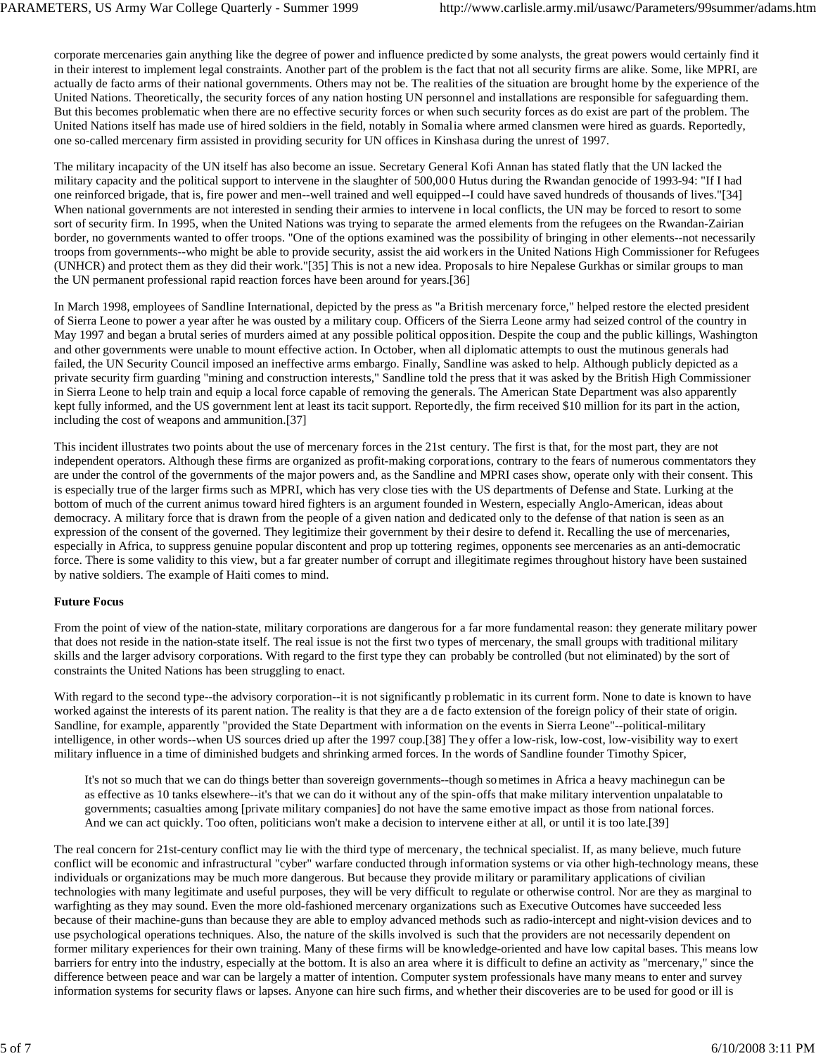corporate mercenaries gain anything like the degree of power and influence predicted by some analysts, the great powers would certainly find it in their interest to implement legal constraints. Another part of the problem is the fact that not all security firms are alike. Some, like MPRI, are actually de facto arms of their national governments. Others may not be. The realities of the situation are brought home by the experience of the United Nations. Theoretically, the security forces of any nation hosting UN personnel and installations are responsible for safeguarding them. But this becomes problematic when there are no effective security forces or when such security forces as do exist are part of the problem. The United Nations itself has made use of hired soldiers in the field, notably in Somalia where armed clansmen were hired as guards. Reportedly, one so-called mercenary firm assisted in providing security for UN offices in Kinshasa during the unrest of 1997.

The military incapacity of the UN itself has also become an issue. Secretary General Kofi Annan has stated flatly that the UN lacked the military capacity and the political support to intervene in the slaughter of 500,00 0 Hutus during the Rwandan genocide of 1993-94: "If I had one reinforced brigade, that is, fire power and men--well trained and well equipped--I could have saved hundreds of thousands of lives."[34] When national governments are not interested in sending their armies to intervene i n local conflicts, the UN may be forced to resort to some sort of security firm. In 1995, when the United Nations was trying to separate the armed elements from the refugees on the Rwandan-Zairian border, no governments wanted to offer troops. "One of the options examined was the possibility of bringing in other elements--not necessarily troops from governments--who might be able to provide security, assist the aid workers in the United Nations High Commissioner for Refugees (UNHCR) and protect them as they did their work."[35] This is not a new idea. Proposals to hire Nepalese Gurkhas or similar groups to man the UN permanent professional rapid reaction forces have been around for years.[36]

In March 1998, employees of Sandline International, depicted by the press as "a British mercenary force," helped restore the elected president of Sierra Leone to power a year after he was ousted by a military coup. Officers of the Sierra Leone army had seized control of the country in May 1997 and began a brutal series of murders aimed at any possible political opposition. Despite the coup and the public killings, Washington and other governments were unable to mount effective action. In October, when all diplomatic attempts to oust the mutinous generals had failed, the UN Security Council imposed an ineffective arms embargo. Finally, Sandline was asked to help. Although publicly depicted as a private security firm guarding "mining and construction interests," Sandline told the press that it was asked by the British High Commissioner in Sierra Leone to help train and equip a local force capable of removing the generals. The American State Department was also apparently kept fully informed, and the US government lent at least its tacit support. Reportedly, the firm received \$10 million for its part in the action, including the cost of weapons and ammunition.[37]

This incident illustrates two points about the use of mercenary forces in the 21st century. The first is that, for the most part, they are not independent operators. Although these firms are organized as profit-making corporations, contrary to the fears of numerous commentators they are under the control of the governments of the major powers and, as the Sandline and MPRI cases show, operate only with their consent. This is especially true of the larger firms such as MPRI, which has very close ties with the US departments of Defense and State. Lurking at the bottom of much of the current animus toward hired fighters is an argument founded in Western, especially Anglo-American, ideas about democracy. A military force that is drawn from the people of a given nation and dedicated only to the defense of that nation is seen as an expression of the consent of the governed. They legitimize their government by their desire to defend it. Recalling the use of mercenaries, especially in Africa, to suppress genuine popular discontent and prop up tottering regimes, opponents see mercenaries as an anti-democratic force. There is some validity to this view, but a far greater number of corrupt and illegitimate regimes throughout history have been sustained by native soldiers. The example of Haiti comes to mind.

#### **Future Focus**

From the point of view of the nation-state, military corporations are dangerous for a far more fundamental reason: they generate military power that does not reside in the nation-state itself. The real issue is not the first two types of mercenary, the small groups with traditional military skills and the larger advisory corporations. With regard to the first type they can probably be controlled (but not eliminated) by the sort of constraints the United Nations has been struggling to enact.

With regard to the second type--the advisory corporation--it is not significantly p roblematic in its current form. None to date is known to have worked against the interests of its parent nation. The reality is that they are a de facto extension of the foreign policy of their state of origin. Sandline, for example, apparently "provided the State Department with information on the events in Sierra Leone"--political-military intelligence, in other words--when US sources dried up after the 1997 coup.[38] They offer a low-risk, low-cost, low-visibility way to exert military influence in a time of diminished budgets and shrinking armed forces. In the words of Sandline founder Timothy Spicer,

It's not so much that we can do things better than sovereign governments--though so metimes in Africa a heavy machinegun can be as effective as 10 tanks elsewhere--it's that we can do it without any of the spin-offs that make military intervention unpalatable to governments; casualties among [private military companies] do not have the same emotive impact as those from national forces. And we can act quickly. Too often, politicians won't make a decision to intervene either at all, or until it is too late.[39]

The real concern for 21st-century conflict may lie with the third type of mercenary, the technical specialist. If, as many believe, much future conflict will be economic and infrastructural "cyber" warfare conducted through information systems or via other high-technology means, these individuals or organizations may be much more dangerous. But because they provide military or paramilitary applications of civilian technologies with many legitimate and useful purposes, they will be very difficult to regulate or otherwise control. Nor are they as marginal to warfighting as they may sound. Even the more old-fashioned mercenary organizations such as Executive Outcomes have succeeded less because of their machine-guns than because they are able to employ advanced methods such as radio-intercept and night-vision devices and to use psychological operations techniques. Also, the nature of the skills involved is such that the providers are not necessarily dependent on former military experiences for their own training. Many of these firms will be knowledge-oriented and have low capital bases. This means low barriers for entry into the industry, especially at the bottom. It is also an area where it is difficult to define an activity as "mercenary," since the difference between peace and war can be largely a matter of intention. Computer system professionals have many means to enter and survey information systems for security flaws or lapses. Anyone can hire such firms, and whether their discoveries are to be used for good or ill is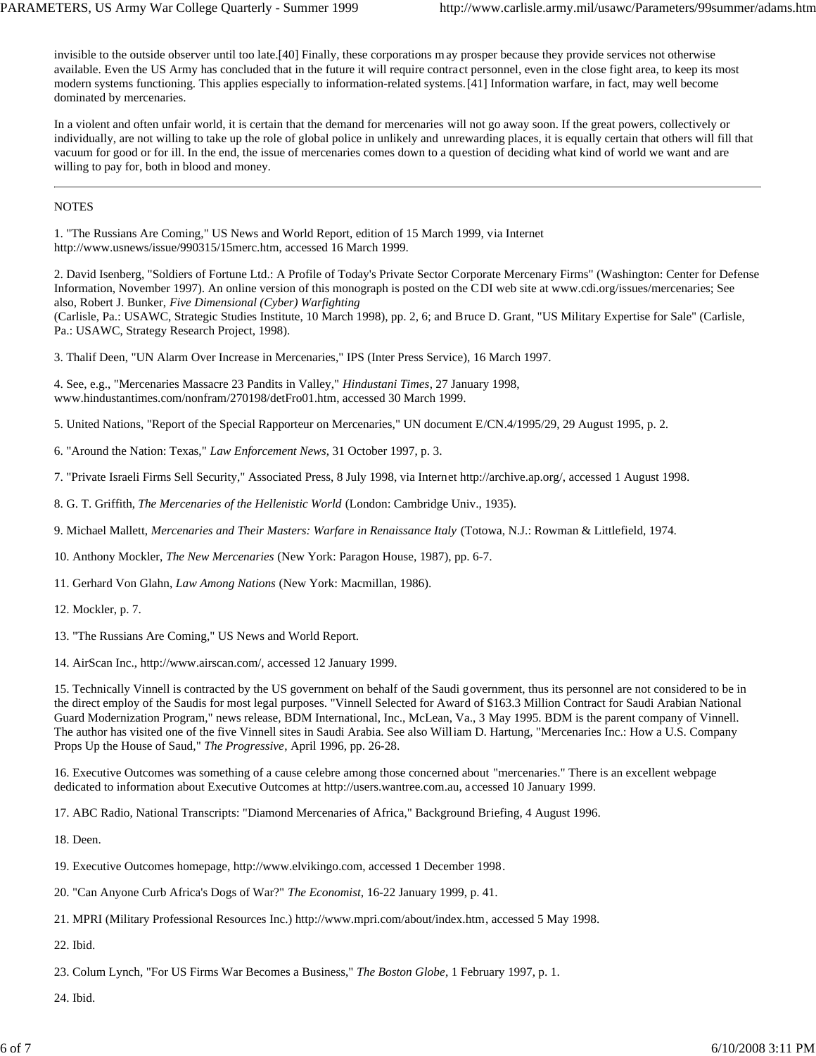invisible to the outside observer until too late.[40] Finally, these corporations m ay prosper because they provide services not otherwise available. Even the US Army has concluded that in the future it will require contract personnel, even in the close fight area, to keep its most modern systems functioning. This applies especially to information-related systems.[41] Information warfare, in fact, may well become dominated by mercenaries.

In a violent and often unfair world, it is certain that the demand for mercenaries will not go away soon. If the great powers, collectively or individually, are not willing to take up the role of global police in unlikely and unrewarding places, it is equally certain that others will fill that vacuum for good or for ill. In the end, the issue of mercenaries comes down to a question of deciding what kind of world we want and are willing to pay for, both in blood and money.

#### NOTES

1. "The Russians Are Coming," US News and World Report, edition of 15 March 1999, via Internet http://www.usnews/issue/990315/15merc.htm, accessed 16 March 1999.

2. David Isenberg, "Soldiers of Fortune Ltd.: A Profile of Today's Private Sector Corporate Mercenary Firms" (Washington: Center for Defense Information, November 1997). An online version of this monograph is posted on the CDI web site at www.cdi.org/issues/mercenaries; See also, Robert J. Bunker, *Five Dimensional (Cyber) Warfighting*

(Carlisle, Pa.: USAWC, Strategic Studies Institute, 10 March 1998), pp. 2, 6; and Bruce D. Grant, "US Military Expertise for Sale" (Carlisle, Pa.: USAWC, Strategy Research Project, 1998).

3. Thalif Deen, "UN Alarm Over Increase in Mercenaries," IPS (Inter Press Service), 16 March 1997.

4. See, e.g., "Mercenaries Massacre 23 Pandits in Valley," *Hindustani Times*, 27 January 1998, www.hindustantimes.com/nonfram/270198/detFro01.htm, accessed 30 March 1999.

5. United Nations, "Report of the Special Rapporteur on Mercenaries," UN document E/CN.4/1995/29, 29 August 1995, p. 2.

6. "Around the Nation: Texas," *Law Enforcement News*, 31 October 1997, p. 3.

7. "Private Israeli Firms Sell Security," Associated Press, 8 July 1998, via Internet http://archive.ap.org/, accessed 1 August 1998.

8. G. T. Griffith, *The Mercenaries of the Hellenistic World* (London: Cambridge Univ., 1935).

9. Michael Mallett, *Mercenaries and Their Masters: Warfare in Renaissance Italy* (Totowa, N.J.: Rowman & Littlefield, 1974.

10. Anthony Mockler, *The New Mercenaries* (New York: Paragon House, 1987), pp. 6-7.

11. Gerhard Von Glahn, *Law Among Nations* (New York: Macmillan, 1986).

13. "The Russians Are Coming," US News and World Report.

14. AirScan Inc., http://www.airscan.com/, accessed 12 January 1999.

15. Technically Vinnell is contracted by the US government on behalf of the Saudi government, thus its personnel are not considered to be in the direct employ of the Saudis for most legal purposes. "Vinnell Selected for Award of \$163.3 Million Contract for Saudi Arabian National Guard Modernization Program," news release, BDM International, Inc., McLean, Va., 3 May 1995. BDM is the parent company of Vinnell. The author has visited one of the five Vinnell sites in Saudi Arabia. See also William D. Hartung, "Mercenaries Inc.: How a U.S. Company Props Up the House of Saud," *The Progressive*, April 1996, pp. 26-28.

16. Executive Outcomes was something of a cause celebre among those concerned about "mercenaries." There is an excellent webpage dedicated to information about Executive Outcomes at http://users.wantree.com.au, accessed 10 January 1999.

17. ABC Radio, National Transcripts: "Diamond Mercenaries of Africa," Background Briefing, 4 August 1996.

18. Deen.

19. Executive Outcomes homepage, http://www.elvikingo.com, accessed 1 December 1998.

20. "Can Anyone Curb Africa's Dogs of War?" *The Economist,* 16-22 January 1999, p. 41.

21. MPRI (Military Professional Resources Inc.) http://www.mpri.com/about/index.htm, accessed 5 May 1998.

22. Ibid.

23. Colum Lynch, "For US Firms War Becomes a Business," *The Boston Globe*, 1 February 1997, p. 1.

24. Ibid.

<sup>12.</sup> Mockler, p. 7.